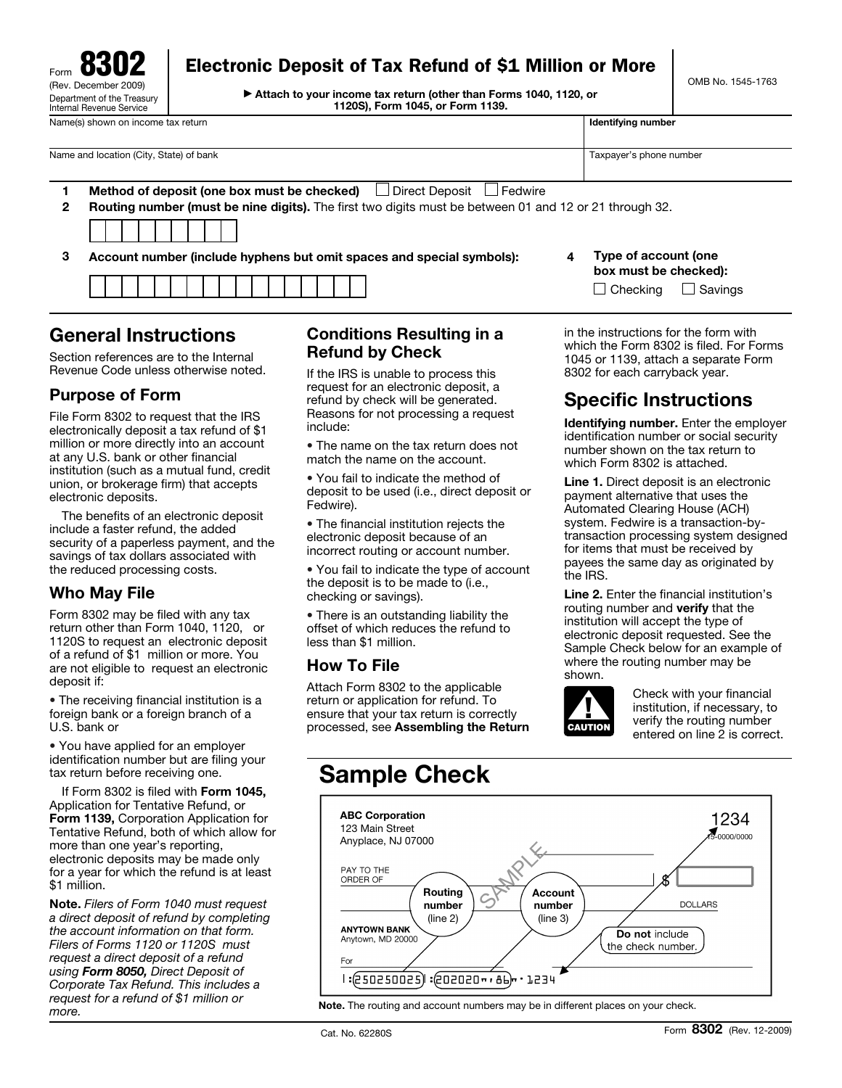

## Electronic Deposit of Tax Refund of \$1 Million or More

© **Attach to your income tax return (other than Forms 1040, 1120, or 1120S), Form 1045, or Form 1139.**

OMB No. 1545-1763

| Name and location (City, State) of bank<br>$\Box$ Direct Deposit $\Box$ Fedwire<br>Method of deposit (one box must be checked) | Taxpayer's phone number | <b>Routing number (must be nine digits).</b> The first two digits must be between 01 and 12 or 21 through 32.<br>2 |  | <b>Again Corporation of Alberta Corporation</b> |  |
|--------------------------------------------------------------------------------------------------------------------------------|-------------------------|--------------------------------------------------------------------------------------------------------------------|--|-------------------------------------------------|--|
|                                                                                                                                |                         |                                                                                                                    |  |                                                 |  |
|                                                                                                                                |                         |                                                                                                                    |  |                                                 |  |
|                                                                                                                                |                         |                                                                                                                    |  |                                                 |  |
|                                                                                                                                |                         |                                                                                                                    |  |                                                 |  |
|                                                                                                                                |                         |                                                                                                                    |  |                                                 |  |
|                                                                                                                                |                         |                                                                                                                    |  |                                                 |  |

**3 Account number (include hyphens but omit spaces and special symbols): 4 Type of account (one** 

# **General Instructions**

Section references are to the Internal Revenue Code unless otherwise noted.

### **Purpose of Form**

File Form 8302 to request that the IRS electronically deposit a tax refund of \$1 million or more directly into an account at any U.S. bank or other financial institution (such as a mutual fund, credit union, or brokerage firm) that accepts electronic deposits.

The benefits of an electronic deposit include a faster refund, the added security of a paperless payment, and the savings of tax dollars associated with the reduced processing costs.

#### **Who May File**

Form 8302 may be filed with any tax return other than Form 1040, 1120, or 1120S to request an electronic deposit of a refund of \$1 million or more. You are not eligible to request an electronic deposit if:

• The receiving financial institution is a foreign bank or a foreign branch of a U.S. bank or

• You have applied for an employer identification number but are filing your tax return before receiving one.

If Form 8302 is filed with **Form 1045,**  Application for Tentative Refund, or **Form 1139,** Corporation Application for Tentative Refund, both of which allow for more than one year's reporting, electronic deposits may be made only for a year for which the refund is at least \$1 million.

**Note.** *Filers of Form 1040 must request a direct deposit of refund by completing the account information on that form. Filers of Forms 1120 or 1120S must request a direct deposit of a refund using Form 8050, Direct Deposit of Corporate Tax Refund. This includes a request for a refund of \$1 million or more.* 

#### **Conditions Resulting in a Refund by Check**

If the IRS is unable to process this request for an electronic deposit, a refund by check will be generated. Reasons for not processing a request include:

• The name on the tax return does not match the name on the account.

• You fail to indicate the method of deposit to be used (i.e., direct deposit or Fedwire).

• The financial institution rejects the electronic deposit because of an incorrect routing or account number.

• You fail to indicate the type of account the deposit is to be made to (i.e., checking or savings).

• There is an outstanding liability the offset of which reduces the refund to less than \$1 million.

#### **How To File**

Attach Form 8302 to the applicable return or application for refund. To ensure that your tax return is correctly processed, see **Assembling the Return**   $\Box$  Checking  $\Box$  Savings

**box must be checked):** 

in the instructions for the form with which the Form 8302 is filed. For Forms 1045 or 1139, attach a separate Form 8302 for each carryback year.

## **Specific Instructions**

**Identifying number.** Enter the employer identification number or social security number shown on the tax return to which Form 8302 is attached.

**Line 1.** Direct deposit is an electronic payment alternative that uses the Automated Clearing House (ACH) system. Fedwire is a transaction-bytransaction processing system designed for items that must be received by payees the same day as originated by the IRS.

**Line 2.** Enter the financial institution's routing number and **verify** that the institution will accept the type of electronic deposit requested. See the Sample Check below for an example of where the routing number may be shown.



Check with your financial institution, if necessary, to verify the routing number entered on line 2 is correct.

# **Sample Check**



**Note.** The routing and account numbers may be in different places on your check.